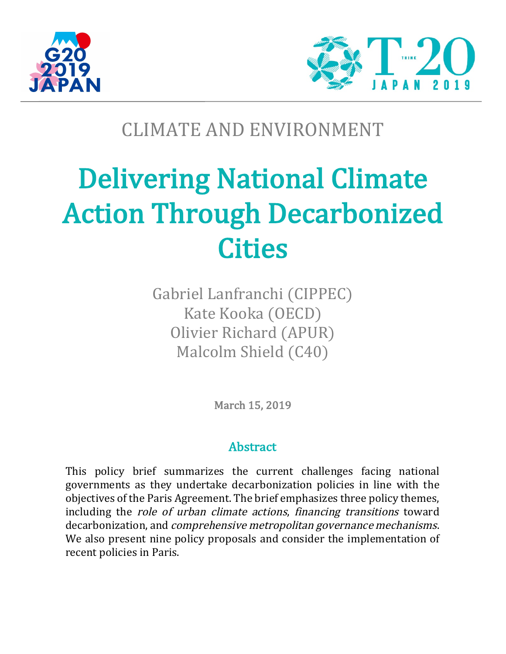



# CLIMATE AND ENVIRONMENT

# **Delivering National Climate Action Through Decarbonized Cities**

Gabriel Lanfranchi (CIPPEC) Kate Kooka (OECD) Olivier Richard (APUR) Malcolm Shield (C40)

March 15, 2019

# Abstract

This policy brief summarizes the current challenges facing national governments as they undertake decarbonization policies in line with the objectives of the Paris Agreement. The brief emphasizes three policy themes, including the *role of urban climate actions, financing transitions* toward decarbonization, and *comprehensive metropolitan governance mechanisms*. We also present nine policy proposals and consider the implementation of recent policies in Paris.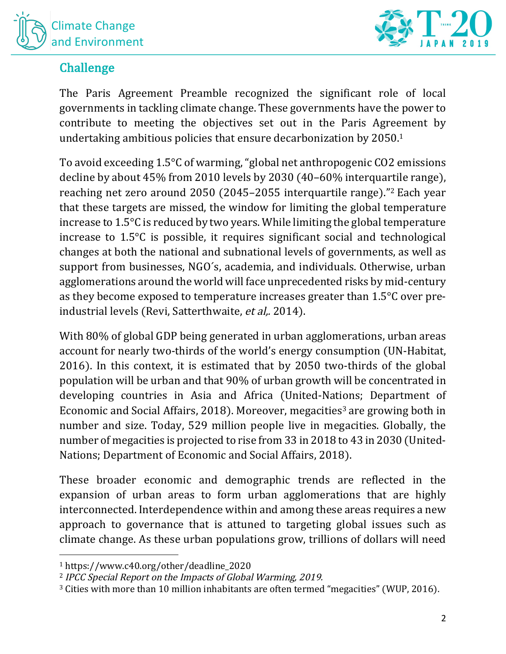



# Challenge

The Paris Agreement Preamble recognized the significant role of local governments in tackling climate change. These governments have the power to contribute to meeting the objectives set out in the Paris Agreement by undertaking ambitious policies that ensure decarbonization by 2050.<sup>1</sup>

To avoid exceeding  $1.5^{\circ}$ C of warming, "global net anthropogenic CO2 emissions decline by about  $45\%$  from 2010 levels by 2030 (40–60% interquartile range), reaching net zero around 2050 (2045–2055 interquartile range)."<sup>2</sup> Each year that these targets are missed, the window for limiting the global temperature increase to  $1.5^{\circ}$ C is reduced by two years. While limiting the global temperature increase to  $1.5^{\circ}$ C is possible, it requires significant social and technological changes at both the national and subnational levels of governments, as well as support from businesses, NGO's, academia, and individuals. Otherwise, urban agglomerations around the world will face unprecedented risks by mid-century as they become exposed to temperature increases greater than  $1.5^{\circ}$ C over preindustrial levels (Revi, Satterthwaite, et al., 2014).

With 80% of global GDP being generated in urban agglomerations, urban areas account for nearly two-thirds of the world's energy consumption (UN-Habitat, 2016). In this context, it is estimated that by  $2050$  two-thirds of the global population will be urban and that 90% of urban growth will be concentrated in developing countries in Asia and Africa (United-Nations; Department of Economic and Social Affairs, 2018). Moreover, megacities<sup>3</sup> are growing both in number and size. Today, 529 million people live in megacities. Globally, the number of megacities is projected to rise from 33 in 2018 to 43 in 2030 (United-Nations; Department of Economic and Social Affairs, 2018).

These broader economic and demographic trends are reflected in the expansion of urban areas to form urban agglomerations that are highly interconnected. Interdependence within and among these areas requires a new approach to governance that is attuned to targeting global issues such as climate change. As these urban populations grow, trillions of dollars will need

<sup>1</sup> https://www.c40.org/other/deadline\_2020

<sup>&</sup>lt;sup>2</sup> IPCC Special Report on the Impacts of Global Warming, 2019.

<sup>&</sup>lt;sup>3</sup> Cities with more than 10 million inhabitants are often termed "megacities" (WUP, 2016).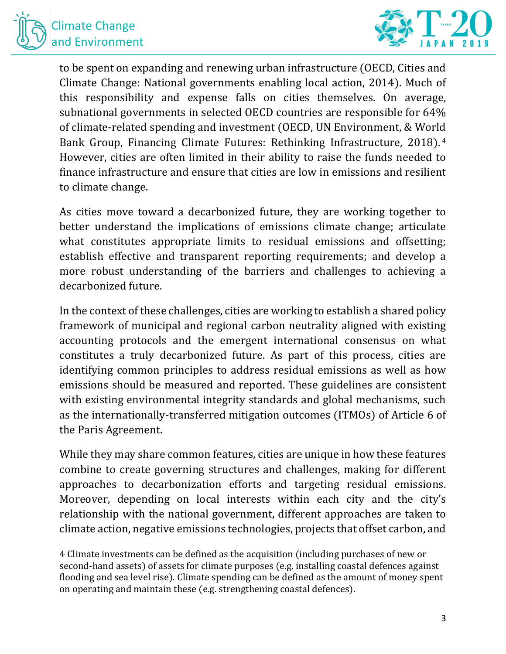



to be spent on expanding and renewing urban infrastructure (OECD, Cities and Climate Change: National governments enabling local action, 2014). Much of this responsibility and expense falls on cities themselves. On average, subnational governments in selected OECD countries are responsible for 64% of climate-related spending and investment (OECD, UN Environment, & World Bank Group, Financing Climate Futures: Rethinking Infrastructure, 2018).<sup>4</sup> However, cities are often limited in their ability to raise the funds needed to finance infrastructure and ensure that cities are low in emissions and resilient to climate change.

As cities move toward a decarbonized future, they are working together to better understand the implications of emissions climate change; articulate what constitutes appropriate limits to residual emissions and offsetting; establish effective and transparent reporting requirements; and develop a more robust understanding of the barriers and challenges to achieving a decarbonized future.

In the context of these challenges, cities are working to establish a shared policy framework of municipal and regional carbon neutrality aligned with existing accounting protocols and the emergent international consensus on what constitutes a truly decarbonized future. As part of this process, cities are identifying common principles to address residual emissions as well as how emissions should be measured and reported. These guidelines are consistent with existing environmental integrity standards and global mechanisms, such as the internationally-transferred mitigation outcomes (ITMOs) of Article 6 of the Paris Agreement.

While they may share common features, cities are unique in how these features combine to create governing structures and challenges, making for different approaches to decarbonization efforts and targeting residual emissions. Moreover, depending on local interests within each city and the city's relationship with the national government, different approaches are taken to climate action, negative emissions technologies, projects that offset carbon, and

<sup>4</sup> Climate investments can be defined as the acquisition (including purchases of new or second-hand assets) of assets for climate purposes (e.g. installing coastal defences against flooding and sea level rise). Climate spending can be defined as the amount of money spent on operating and maintain these (e.g. strengthening coastal defences).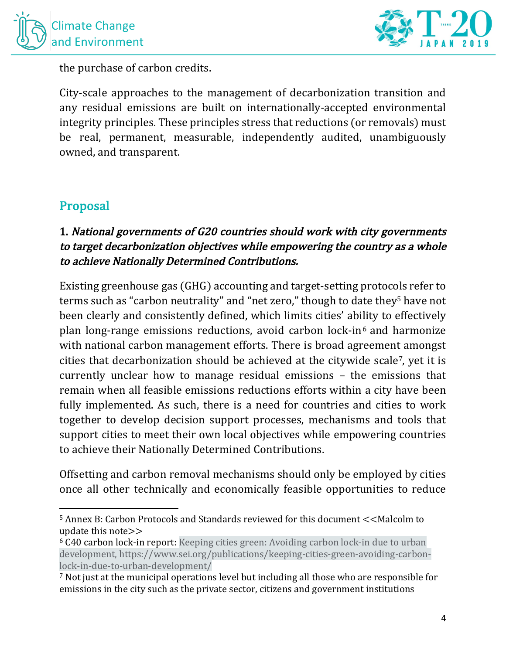



the purchase of carbon credits.

City-scale approaches to the management of decarbonization transition and any residual emissions are built on internationally-accepted environmental integrity principles. These principles stress that reductions (or removals) must be real, permanent, measurable, independently audited, unambiguously owned, and transparent.

# Proposal

 

# 1. National governments of G20 countries should work with city governments to target decarbonization objectives while empowering the country as a whole to achieve Nationally Determined Contributions.

Existing greenhouse gas (GHG) accounting and target-setting protocols refer to terms such as "carbon neutrality" and "net zero," though to date they<sup>5</sup> have not been clearly and consistently defined, which limits cities' ability to effectively plan long-range emissions reductions, avoid carbon lock-in<sup>6</sup> and harmonize with national carbon management efforts. There is broad agreement amongst cities that decarbonization should be achieved at the citywide scale<sup>7</sup>, yet it is currently unclear how to manage residual emissions – the emissions that remain when all feasible emissions reductions efforts within a city have been fully implemented. As such, there is a need for countries and cities to work together to develop decision support processes, mechanisms and tools that support cities to meet their own local objectives while empowering countries to achieve their Nationally Determined Contributions.

Offsetting and carbon removal mechanisms should only be employed by cities once all other technically and economically feasible opportunities to reduce

 $5$  Annex B: Carbon Protocols and Standards reviewed for this document  $<<$ Malcolm to update this note $>>$ 

<sup>&</sup>lt;sup>6</sup> C40 carbon lock-in report: Keeping cities green: Avoiding carbon lock-in due to urban development, https://www.sei.org/publications/keeping-cities-green-avoiding-carbonlock-in-due-to-urban-development/

<sup>&</sup>lt;sup>7</sup> Not just at the municipal operations level but including all those who are responsible for emissions in the city such as the private sector, citizens and government institutions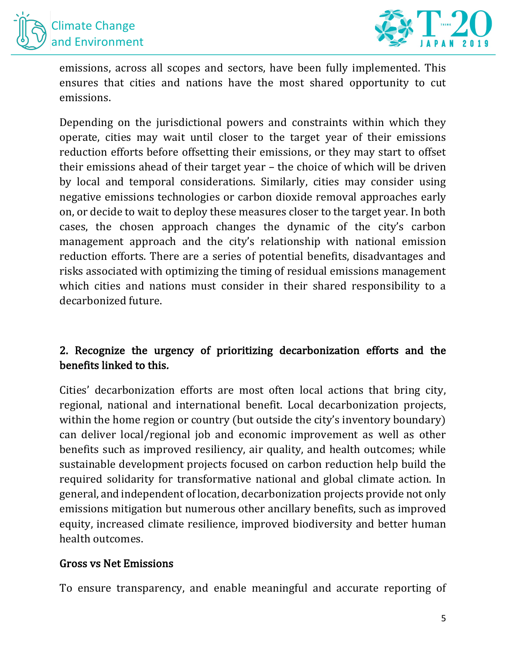



emissions, across all scopes and sectors, have been fully implemented. This ensures that cities and nations have the most shared opportunity to cut emissions.

Depending on the jurisdictional powers and constraints within which they operate, cities may wait until closer to the target year of their emissions reduction efforts before offsetting their emissions, or they may start to offset their emissions ahead of their target year - the choice of which will be driven by local and temporal considerations. Similarly, cities may consider using negative emissions technologies or carbon dioxide removal approaches early on, or decide to wait to deploy these measures closer to the target year. In both cases, the chosen approach changes the dynamic of the city's carbon management approach and the city's relationship with national emission reduction efforts. There are a series of potential benefits, disadvantages and risks associated with optimizing the timing of residual emissions management which cities and nations must consider in their shared responsibility to a decarbonized future.

# 2. Recognize the urgency of prioritizing decarbonization efforts and the benefits linked to this.

Cities' decarbonization efforts are most often local actions that bring city, regional, national and international benefit. Local decarbonization projects, within the home region or country (but outside the city's inventory boundary) can deliver local/regional job and economic improvement as well as other benefits such as improved resiliency, air quality, and health outcomes; while sustainable development projects focused on carbon reduction help build the required solidarity for transformative national and global climate action. In general, and independent of location, decarbonization projects provide not only emissions mitigation but numerous other ancillary benefits, such as improved equity, increased climate resilience, improved biodiversity and better human health outcomes.

#### Gross vs Net Emissions

To ensure transparency, and enable meaningful and accurate reporting of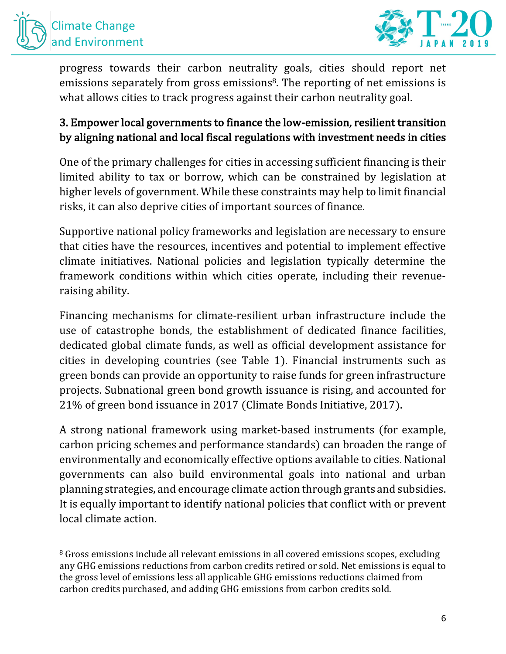



progress towards their carbon neutrality goals, cities should report net emissions separately from gross emissions<sup>8</sup>. The reporting of net emissions is what allows cities to track progress against their carbon neutrality goal.

# 3. Empower local governments to finance the low-emission, resilient transition by aligning national and local fiscal regulations with investment needs in cities

One of the primary challenges for cities in accessing sufficient financing is their limited ability to tax or borrow, which can be constrained by legislation at higher levels of government. While these constraints may help to limit financial risks, it can also deprive cities of important sources of finance.

Supportive national policy frameworks and legislation are necessary to ensure that cities have the resources, incentives and potential to implement effective climate initiatives. National policies and legislation typically determine the framework conditions within which cities operate, including their revenueraising ability.

Financing mechanisms for climate-resilient urban infrastructure include the use of catastrophe bonds, the establishment of dedicated finance facilities, dedicated global climate funds, as well as official development assistance for cities in developing countries (see Table 1). Financial instruments such as green bonds can provide an opportunity to raise funds for green infrastructure projects. Subnational green bond growth issuance is rising, and accounted for 21% of green bond issuance in 2017 (Climate Bonds Initiative, 2017).

A strong national framework using market-based instruments (for example, carbon pricing schemes and performance standards) can broaden the range of environmentally and economically effective options available to cities. National governments can also build environmental goals into national and urban planning strategies, and encourage climate action through grants and subsidies. It is equally important to identify national policies that conflict with or prevent local climate action.

<sup>&</sup>lt;sup>8</sup> Gross emissions include all relevant emissions in all covered emissions scopes, excluding any GHG emissions reductions from carbon credits retired or sold. Net emissions is equal to the gross level of emissions less all applicable GHG emissions reductions claimed from carbon credits purchased, and adding GHG emissions from carbon credits sold.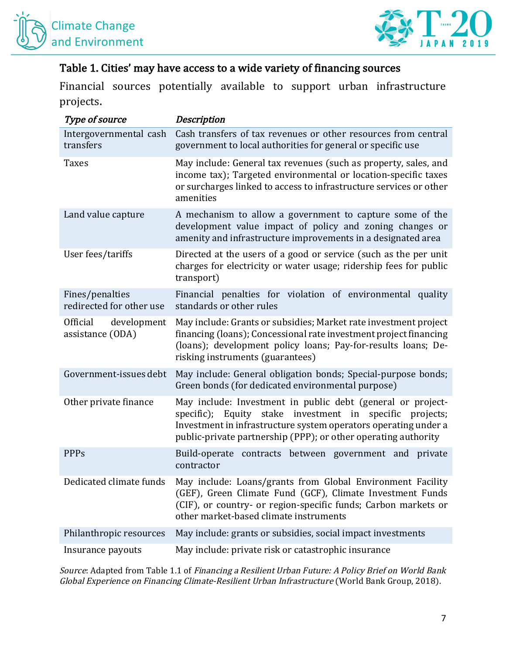



#### Table 1. Cities' may have access to a wide variety of financing sources

Financial sources potentially available to support urban infrastructure projects.

| <i>Type of source</i>                       | Description                                                                                                                                                                                                                                                  |
|---------------------------------------------|--------------------------------------------------------------------------------------------------------------------------------------------------------------------------------------------------------------------------------------------------------------|
| Intergovernmental cash<br>transfers         | Cash transfers of tax revenues or other resources from central<br>government to local authorities for general or specific use                                                                                                                                |
| <b>Taxes</b>                                | May include: General tax revenues (such as property, sales, and<br>income tax); Targeted environmental or location-specific taxes<br>or surcharges linked to access to infrastructure services or other<br>amenities                                         |
| Land value capture                          | A mechanism to allow a government to capture some of the<br>development value impact of policy and zoning changes or<br>amenity and infrastructure improvements in a designated area                                                                         |
| User fees/tariffs                           | Directed at the users of a good or service (such as the per unit<br>charges for electricity or water usage; ridership fees for public<br>transport)                                                                                                          |
| Fines/penalties<br>redirected for other use | Financial penalties for violation of environmental quality<br>standards or other rules                                                                                                                                                                       |
| development<br>Official<br>assistance (ODA) | May include: Grants or subsidies; Market rate investment project<br>financing (loans); Concessional rate investment project financing<br>(loans); development policy loans; Pay-for-results loans; De-<br>risking instruments (guarantees)                   |
| Government-issues debt                      | May include: General obligation bonds; Special-purpose bonds;<br>Green bonds (for dedicated environmental purpose)                                                                                                                                           |
| Other private finance                       | May include: Investment in public debt (general or project-<br>specific); Equity stake investment in specific projects;<br>Investment in infrastructure system operators operating under a<br>public-private partnership (PPP); or other operating authority |
| <b>PPPs</b>                                 | Build-operate contracts between government and private<br>contractor                                                                                                                                                                                         |
| Dedicated climate funds                     | May include: Loans/grants from Global Environment Facility<br>(GEF), Green Climate Fund (GCF), Climate Investment Funds<br>(CIF), or country- or region-specific funds; Carbon markets or<br>other market-based climate instruments                          |
| Philanthropic resources                     | May include: grants or subsidies, social impact investments                                                                                                                                                                                                  |
| Insurance payouts                           | May include: private risk or catastrophic insurance                                                                                                                                                                                                          |

Source: Adapted from Table 1.1 of Financing a Resilient Urban Future: A Policy Brief on World Bank Global Experience on Financing Climate-Resilient Urban Infrastructure (World Bank Group, 2018).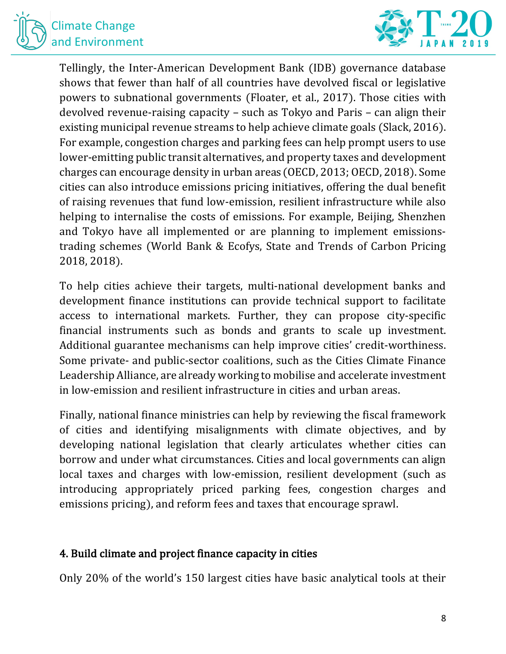



Tellingly, the Inter-American Development Bank (IDB) governance database shows that fewer than half of all countries have devolved fiscal or legislative powers to subnational governments (Floater, et al., 2017). Those cities with devolved revenue-raising capacity  $-$  such as Tokyo and Paris  $-$  can align their existing municipal revenue streams to help achieve climate goals (Slack, 2016). For example, congestion charges and parking fees can help prompt users to use lower-emitting public transit alternatives, and property taxes and development charges can encourage density in urban areas (OECD, 2013; OECD, 2018). Some cities can also introduce emissions pricing initiatives, offering the dual benefit of raising revenues that fund low-emission, resilient infrastructure while also helping to internalise the costs of emissions. For example, Beijing, Shenzhen and Tokyo have all implemented or are planning to implement emissionstrading schemes (World Bank & Ecofys, State and Trends of Carbon Pricing 2018, 2018).

To help cities achieve their targets, multi-national development banks and development finance institutions can provide technical support to facilitate access to international markets. Further, they can propose city-specific financial instruments such as bonds and grants to scale up investment. Additional guarantee mechanisms can help improve cities' credit-worthiness. Some private- and public-sector coalitions, such as the Cities Climate Finance Leadership Alliance, are already working to mobilise and accelerate investment in low-emission and resilient infrastructure in cities and urban areas.

Finally, national finance ministries can help by reviewing the fiscal framework of cities and identifying misalignments with climate objectives, and by developing national legislation that clearly articulates whether cities can borrow and under what circumstances. Cities and local governments can align local taxes and charges with low-emission, resilient development (such as introducing appropriately priced parking fees, congestion charges and emissions pricing), and reform fees and taxes that encourage sprawl.

#### 4. Build climate and project finance capacity in cities

Only 20% of the world's 150 largest cities have basic analytical tools at their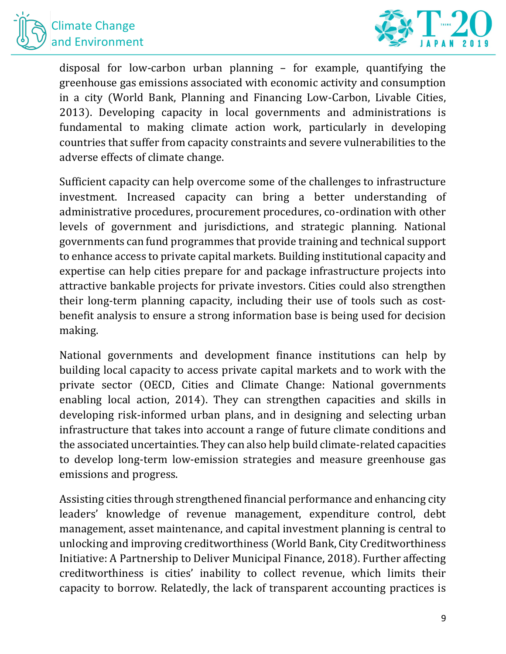



disposal for low-carbon urban planning  $-$  for example, quantifying the greenhouse gas emissions associated with economic activity and consumption in a city (World Bank, Planning and Financing Low-Carbon, Livable Cities, 2013). Developing capacity in local governments and administrations is fundamental to making climate action work, particularly in developing countries that suffer from capacity constraints and severe vulnerabilities to the adverse effects of climate change.

Sufficient capacity can help overcome some of the challenges to infrastructure investment. Increased capacity can bring a better understanding of administrative procedures, procurement procedures, co-ordination with other levels of government and jurisdictions, and strategic planning. National governments can fund programmes that provide training and technical support to enhance access to private capital markets. Building institutional capacity and expertise can help cities prepare for and package infrastructure projects into attractive bankable projects for private investors. Cities could also strengthen their long-term planning capacity, including their use of tools such as costbenefit analysis to ensure a strong information base is being used for decision making.

National governments and development finance institutions can help by building local capacity to access private capital markets and to work with the private sector (OECD, Cities and Climate Change: National governments enabling local action, 2014). They can strengthen capacities and skills in developing risk-informed urban plans, and in designing and selecting urban infrastructure that takes into account a range of future climate conditions and the associated uncertainties. They can also help build climate-related capacities to develop long-term low-emission strategies and measure greenhouse gas emissions and progress.

Assisting cities through strengthened financial performance and enhancing city leaders' knowledge of revenue management, expenditure control, debt management, asset maintenance, and capital investment planning is central to unlocking and improving creditworthiness (World Bank, City Creditworthiness Initiative: A Partnership to Deliver Municipal Finance, 2018). Further affecting creditworthiness is cities' inability to collect revenue, which limits their capacity to borrow. Relatedly, the lack of transparent accounting practices is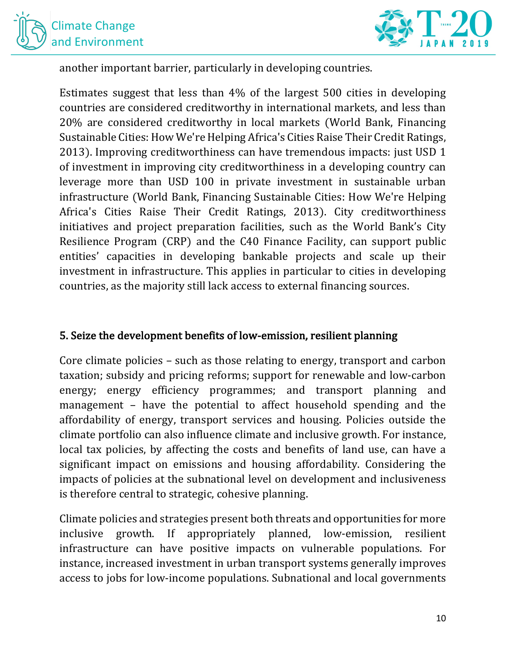



another important barrier, particularly in developing countries.

Estimates suggest that less than  $4\%$  of the largest 500 cities in developing countries are considered creditworthy in international markets, and less than 20% are considered creditworthy in local markets (World Bank, Financing Sustainable Cities: How We're Helping Africa's Cities Raise Their Credit Ratings, 2013). Improving creditworthiness can have tremendous impacts: just USD 1 of investment in improving city creditworthiness in a developing country can leverage more than USD 100 in private investment in sustainable urban infrastructure (World Bank, Financing Sustainable Cities: How We're Helping Africa's Cities Raise Their Credit Ratings, 2013). City creditworthiness initiatives and project preparation facilities, such as the World Bank's City Resilience Program (CRP) and the C40 Finance Facility, can support public entities' capacities in developing bankable projects and scale up their investment in infrastructure. This applies in particular to cities in developing countries, as the majority still lack access to external financing sources.

#### 5. Seize the development benefits of low-emission, resilient planning

Core climate policies  $-$  such as those relating to energy, transport and carbon taxation; subsidy and pricing reforms; support for renewable and low-carbon energy; energy efficiency programmes; and transport planning and management  $-$  have the potential to affect household spending and the affordability of energy, transport services and housing. Policies outside the climate portfolio can also influence climate and inclusive growth. For instance, local tax policies, by affecting the costs and benefits of land use, can have a significant impact on emissions and housing affordability. Considering the impacts of policies at the subnational level on development and inclusiveness is therefore central to strategic, cohesive planning.

Climate policies and strategies present both threats and opportunities for more inclusive growth. If appropriately planned, low-emission, resilient infrastructure can have positive impacts on vulnerable populations. For instance, increased investment in urban transport systems generally improves access to jobs for low-income populations. Subnational and local governments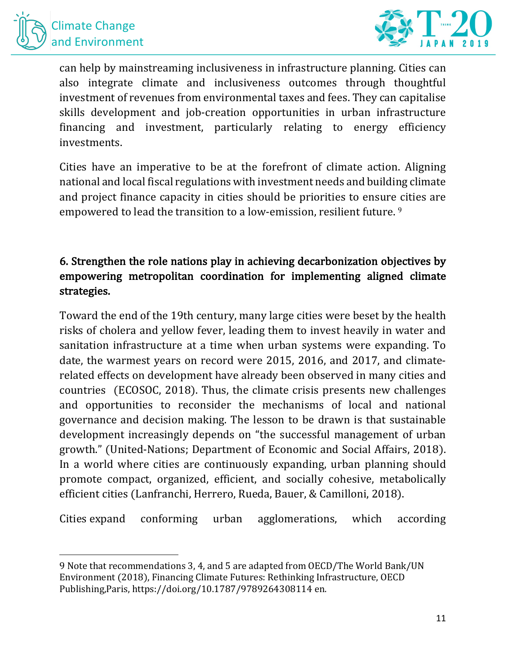



can help by mainstreaming inclusiveness in infrastructure planning. Cities can also integrate climate and inclusiveness outcomes through thoughtful investment of revenues from environmental taxes and fees. They can capitalise skills development and job-creation opportunities in urban infrastructure financing and investment, particularly relating to energy efficiency investments.

Cities have an imperative to be at the forefront of climate action. Aligning national and local fiscal regulations with investment needs and building climate and project finance capacity in cities should be priorities to ensure cities are empowered to lead the transition to a low-emission, resilient future.<sup>9</sup>

# 6. Strengthen the role nations play in achieving decarbonization objectives by empowering metropolitan coordination for implementing aligned climate strategies.

Toward the end of the 19th century, many large cities were beset by the health risks of cholera and yellow fever, leading them to invest heavily in water and sanitation infrastructure at a time when urban systems were expanding. To date, the warmest years on record were 2015, 2016, and 2017, and climaterelated effects on development have already been observed in many cities and countries (ECOSOC, 2018). Thus, the climate crisis presents new challenges and opportunities to reconsider the mechanisms of local and national governance and decision making. The lesson to be drawn is that sustainable development increasingly depends on "the successful management of urban growth." (United-Nations; Department of Economic and Social Affairs, 2018). In a world where cities are continuously expanding, urban planning should promote compact, organized, efficient, and socially cohesive, metabolically efficient cities (Lanfranchi, Herrero, Rueda, Bauer, & Camilloni, 2018).

Cities expand conforming urban agglomerations, which according

<sup>9</sup> Note that recommendations 3, 4, and 5 are adapted from OECD/The World Bank/UN Environment (2018), Financing Climate Futures: Rethinking Infrastructure, OECD Publishing, Paris, https://doi.org/10.1787/9789264308114 en.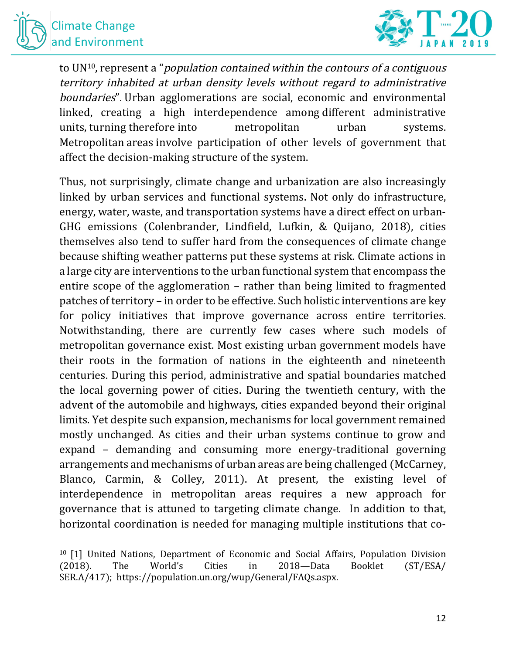



to  $UN^{10}$ , represent a "*population contained within the contours of a contiguous* territory inhabited at urban density levels without regard to administrative boundaries". Urban agglomerations are social, economic and environmental linked, creating a high interdependence among different administrative units, turning therefore into metropolitan urban systems. Metropolitan areas involve participation of other levels of government that affect the decision-making structure of the system.

Thus, not surprisingly, climate change and urbanization are also increasingly linked by urban services and functional systems. Not only do infrastructure, energy, water, waste, and transportation systems have a direct effect on urban-GHG emissions (Colenbrander, Lindfield, Lufkin, & Quijano, 2018), cities themselves also tend to suffer hard from the consequences of climate change because shifting weather patterns put these systems at risk. Climate actions in a large city are interventions to the urban functional system that encompass the entire scope of the agglomeration  $-$  rather than being limited to fragmented patches of territory – in order to be effective. Such holistic interventions are key for policy initiatives that improve governance across entire territories. Notwithstanding, there are currently few cases where such models of metropolitan governance exist. Most existing urban government models have their roots in the formation of nations in the eighteenth and nineteenth centuries. During this period, administrative and spatial boundaries matched the local governing power of cities. During the twentieth century, with the advent of the automobile and highways, cities expanded beyond their original limits. Yet despite such expansion, mechanisms for local government remained mostly unchanged. As cities and their urban systems continue to grow and expand  $-$  demanding and consuming more energy-traditional governing arrangements and mechanisms of urban areas are being challenged (McCarney, Blanco, Carmin, & Colley, 2011). At present, the existing level of interdependence in metropolitan areas requires a new approach for governance that is attuned to targeting climate change. In addition to that, horizontal coordination is needed for managing multiple institutions that co-

 $10$  [1] United Nations, Department of Economic and Social Affairs, Population Division (2018). The World's Cities in 2018—Data Booklet (ST/ESA/ SER.A/417); https://population.un.org/wup/General/FAQs.aspx.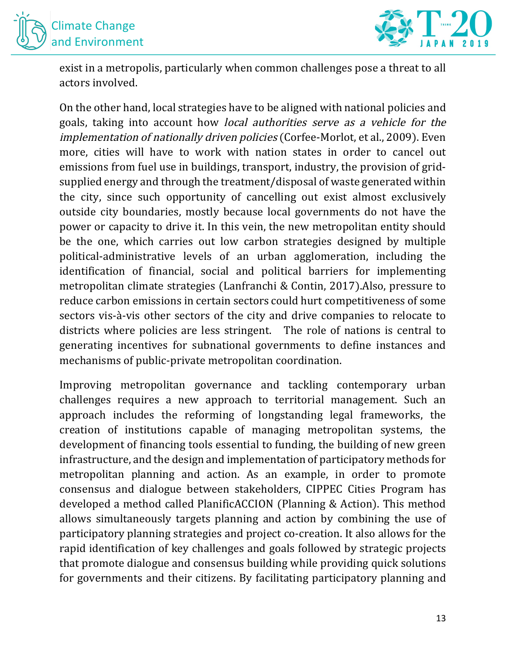



exist in a metropolis, particularly when common challenges pose a threat to all actors involved.

On the other hand, local strategies have to be aligned with national policies and goals, taking into account how *local authorities serve as a vehicle for the* implementation of nationally driven policies (Corfee-Morlot, et al., 2009). Even more, cities will have to work with nation states in order to cancel out emissions from fuel use in buildings, transport, industry, the provision of gridsupplied energy and through the treatment/disposal of waste generated within the city, since such opportunity of cancelling out exist almost exclusively outside city boundaries, mostly because local governments do not have the power or capacity to drive it. In this vein, the new metropolitan entity should be the one, which carries out low carbon strategies designed by multiple political-administrative levels of an urban agglomeration, including the identification of financial, social and political barriers for implementing metropolitan climate strategies (Lanfranchi & Contin, 2017).Also, pressure to reduce carbon emissions in certain sectors could hurt competitiveness of some sectors vis-à-vis other sectors of the city and drive companies to relocate to districts where policies are less stringent. The role of nations is central to generating incentives for subnational governments to define instances and mechanisms of public-private metropolitan coordination.

Improving metropolitan governance and tackling contemporary urban challenges requires a new approach to territorial management. Such an approach includes the reforming of longstanding legal frameworks, the creation of institutions capable of managing metropolitan systems, the development of financing tools essential to funding, the building of new green infrastructure, and the design and implementation of participatory methods for metropolitan planning and action. As an example, in order to promote consensus and dialogue between stakeholders, CIPPEC Cities Program has developed a method called PlanificACCION (Planning & Action). This method allows simultaneously targets planning and action by combining the use of participatory planning strategies and project co-creation. It also allows for the rapid identification of key challenges and goals followed by strategic projects that promote dialogue and consensus building while providing quick solutions for governments and their citizens. By facilitating participatory planning and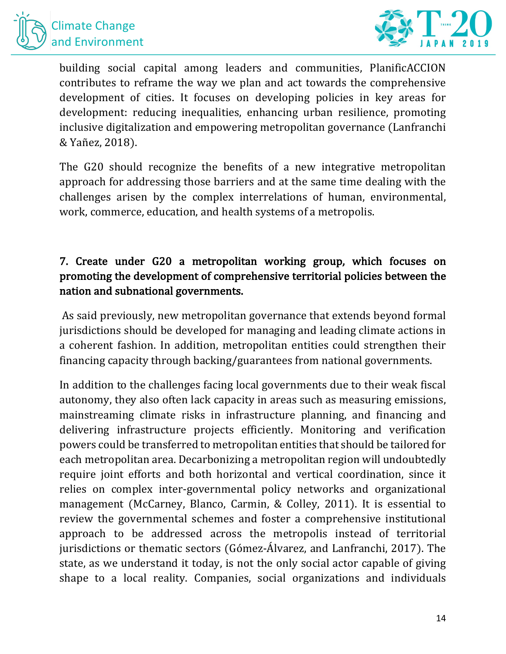



building social capital among leaders and communities, PlanificACCION contributes to reframe the way we plan and act towards the comprehensive development of cities. It focuses on developing policies in key areas for development: reducing inequalities, enhancing urban resilience, promoting inclusive digitalization and empowering metropolitan governance (Lanfranchi & Yañez, 2018).

The G20 should recognize the benefits of a new integrative metropolitan approach for addressing those barriers and at the same time dealing with the challenges arisen by the complex interrelations of human, environmental, work, commerce, education, and health systems of a metropolis.

# 7. Create under G20 a metropolitan working group, which focuses on promoting the development of comprehensive territorial policies between the nation and subnational governments.

As said previously, new metropolitan governance that extends beyond formal jurisdictions should be developed for managing and leading climate actions in a coherent fashion. In addition, metropolitan entities could strengthen their financing capacity through backing/guarantees from national governments.

In addition to the challenges facing local governments due to their weak fiscal autonomy, they also often lack capacity in areas such as measuring emissions, mainstreaming climate risks in infrastructure planning, and financing and delivering infrastructure projects efficiently. Monitoring and verification powers could be transferred to metropolitan entities that should be tailored for each metropolitan area. Decarbonizing a metropolitan region will undoubtedly require joint efforts and both horizontal and vertical coordination, since it relies on complex inter-governmental policy networks and organizational management (McCarney, Blanco, Carmin, & Colley, 2011). It is essential to review the governmental schemes and foster a comprehensive institutional approach to be addressed across the metropolis instead of territorial jurisdictions or thematic sectors (Gómez-Álvarez, and Lanfranchi, 2017). The state, as we understand it today, is not the only social actor capable of giving shape to a local reality. Companies, social organizations and individuals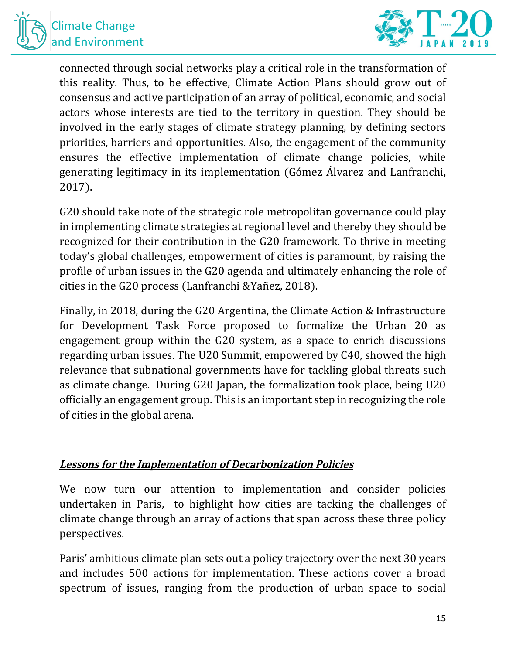



connected through social networks play a critical role in the transformation of this reality. Thus, to be effective, Climate Action Plans should grow out of consensus and active participation of an array of political, economic, and social actors whose interests are tied to the territory in question. They should be involved in the early stages of climate strategy planning, by defining sectors priorities, barriers and opportunities. Also, the engagement of the community ensures the effective implementation of climate change policies, while generating legitimacy in its implementation (Gómez Álvarez and Lanfranchi, 2017). 

G20 should take note of the strategic role metropolitan governance could play in implementing climate strategies at regional level and thereby they should be recognized for their contribution in the G20 framework. To thrive in meeting today's global challenges, empowerment of cities is paramount, by raising the profile of urban issues in the G20 agenda and ultimately enhancing the role of cities in the G20 process (Lanfranchi &Yañez, 2018).

Finally, in 2018, during the G20 Argentina, the Climate Action & Infrastructure for Development Task Force proposed to formalize the Urban 20 as engagement group within the  $G20$  system, as a space to enrich discussions regarding urban issues. The U20 Summit, empowered by C40, showed the high relevance that subnational governments have for tackling global threats such as climate change. During G20 Japan, the formalization took place, being U20 officially an engagement group. This is an important step in recognizing the role of cities in the global arena.

#### Lessons for the Implementation of Decarbonization Policies

We now turn our attention to implementation and consider policies undertaken in Paris, to highlight how cities are tacking the challenges of climate change through an array of actions that span across these three policy perspectives. 

Paris' ambitious climate plan sets out a policy trajectory over the next 30 years and includes 500 actions for implementation. These actions cover a broad spectrum of issues, ranging from the production of urban space to social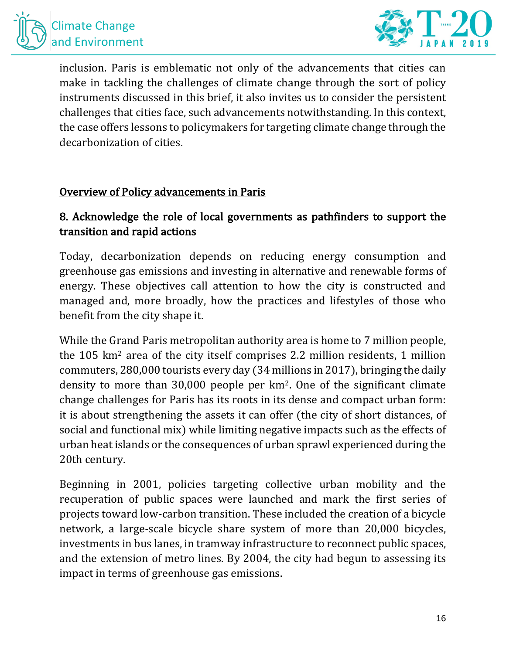



inclusion. Paris is emblematic not only of the advancements that cities can make in tackling the challenges of climate change through the sort of policy instruments discussed in this brief, it also invites us to consider the persistent challenges that cities face, such advancements notwithstanding. In this context, the case offers lessons to policymakers for targeting climate change through the decarbonization of cities.

#### Overview of Policy advancements in Paris

### 8. Acknowledge the role of local governments as pathfinders to support the transition and rapid actions

Today, decarbonization depends on reducing energy consumption and greenhouse gas emissions and investing in alternative and renewable forms of energy. These objectives call attention to how the city is constructed and managed and, more broadly, how the practices and lifestyles of those who benefit from the city shape it.

While the Grand Paris metropolitan authority area is home to 7 million people, the  $105 \text{ km}^2$  area of the city itself comprises 2.2 million residents, 1 million commuters,  $280,000$  tourists every day (34 millions in 2017), bringing the daily density to more than  $30,000$  people per km<sup>2</sup>. One of the significant climate change challenges for Paris has its roots in its dense and compact urban form: it is about strengthening the assets it can offer (the city of short distances, of social and functional mix) while limiting negative impacts such as the effects of urban heat islands or the consequences of urban sprawl experienced during the 20th century.

Beginning in 2001, policies targeting collective urban mobility and the recuperation of public spaces were launched and mark the first series of projects toward low-carbon transition. These included the creation of a bicycle network, a large-scale bicycle share system of more than 20,000 bicycles, investments in bus lanes, in tramway infrastructure to reconnect public spaces, and the extension of metro lines. By 2004, the city had begun to assessing its impact in terms of greenhouse gas emissions.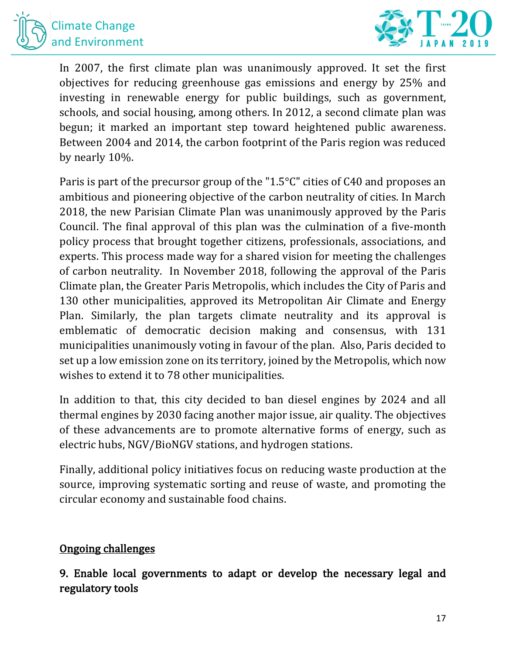



In 2007, the first climate plan was unanimously approved. It set the first objectives for reducing greenhouse gas emissions and energy by 25% and investing in renewable energy for public buildings, such as government, schools, and social housing, among others. In 2012, a second climate plan was begun; it marked an important step toward heightened public awareness. Between 2004 and 2014, the carbon footprint of the Paris region was reduced by nearly 10%.

Paris is part of the precursor group of the "1.5°C" cities of C40 and proposes an ambitious and pioneering objective of the carbon neutrality of cities. In March 2018, the new Parisian Climate Plan was unanimously approved by the Paris Council. The final approval of this plan was the culmination of a five-month policy process that brought together citizens, professionals, associations, and experts. This process made way for a shared vision for meeting the challenges of carbon neutrality. In November 2018, following the approval of the Paris Climate plan, the Greater Paris Metropolis, which includes the City of Paris and 130 other municipalities, approved its Metropolitan Air Climate and Energy Plan. Similarly, the plan targets climate neutrality and its approval is emblematic of democratic decision making and consensus, with 131 municipalities unanimously voting in favour of the plan. Also, Paris decided to set up a low emission zone on its territory, joined by the Metropolis, which now wishes to extend it to 78 other municipalities.

In addition to that, this city decided to ban diesel engines by 2024 and all thermal engines by 2030 facing another major issue, air quality. The objectives of these advancements are to promote alternative forms of energy, such as electric hubs, NGV/BioNGV stations, and hydrogen stations.

Finally, additional policy initiatives focus on reducing waste production at the source, improving systematic sorting and reuse of waste, and promoting the circular economy and sustainable food chains.

#### **Ongoing challenges**

9. Enable local governments to adapt or develop the necessary legal and regulatory tools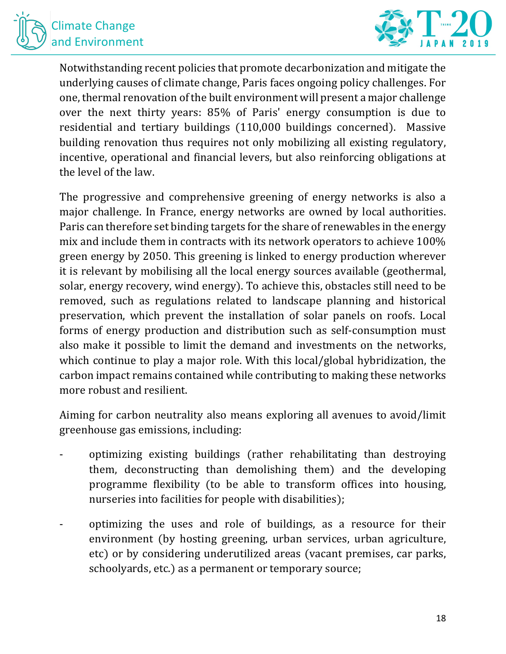



Notwithstanding recent policies that promote decarbonization and mitigate the underlying causes of climate change, Paris faces ongoing policy challenges. For one, thermal renovation of the built environment will present a major challenge over the next thirty years: 85% of Paris' energy consumption is due to residential and tertiary buildings (110,000 buildings concerned). Massive building renovation thus requires not only mobilizing all existing regulatory, incentive, operational and financial levers, but also reinforcing obligations at the level of the law.

The progressive and comprehensive greening of energy networks is also a major challenge. In France, energy networks are owned by local authorities. Paris can therefore set binding targets for the share of renewables in the energy mix and include them in contracts with its network operators to achieve 100% green energy by 2050. This greening is linked to energy production wherever it is relevant by mobilising all the local energy sources available (geothermal, solar, energy recovery, wind energy). To achieve this, obstacles still need to be removed, such as regulations related to landscape planning and historical preservation, which prevent the installation of solar panels on roofs. Local forms of energy production and distribution such as self-consumption must also make it possible to limit the demand and investments on the networks, which continue to play a major role. With this local/global hybridization, the carbon impact remains contained while contributing to making these networks more robust and resilient.

Aiming for carbon neutrality also means exploring all avenues to avoid/limit greenhouse gas emissions, including:

- optimizing existing buildings (rather rehabilitating than destroying them, deconstructing than demolishing them) and the developing programme flexibility (to be able to transform offices into housing, nurseries into facilities for people with disabilities);
- optimizing the uses and role of buildings, as a resource for their environment (by hosting greening, urban services, urban agriculture, etc) or by considering underutilized areas (vacant premises, car parks, schoolyards, etc.) as a permanent or temporary source;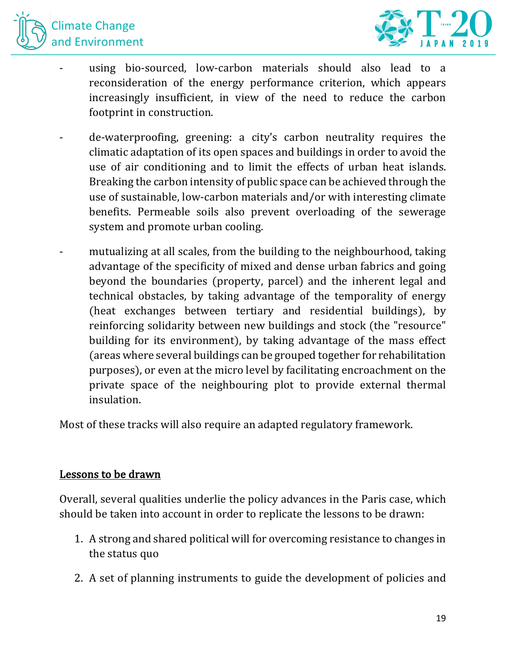



- using bio-sourced, low-carbon materials should also lead to a reconsideration of the energy performance criterion, which appears increasingly insufficient, in view of the need to reduce the carbon footprint in construction.
- de-waterproofing, greening: a city's carbon neutrality requires the climatic adaptation of its open spaces and buildings in order to avoid the use of air conditioning and to limit the effects of urban heat islands. Breaking the carbon intensity of public space can be achieved through the use of sustainable, low-carbon materials and/or with interesting climate benefits. Permeable soils also prevent overloading of the sewerage system and promote urban cooling.
- mutualizing at all scales, from the building to the neighbourhood, taking advantage of the specificity of mixed and dense urban fabrics and going beyond the boundaries (property, parcel) and the inherent legal and technical obstacles, by taking advantage of the temporality of energy (heat exchanges between tertiary and residential buildings), by reinforcing solidarity between new buildings and stock (the "resource" building for its environment), by taking advantage of the mass effect (areas where several buildings can be grouped together for rehabilitation purposes), or even at the micro level by facilitating encroachment on the private space of the neighbouring plot to provide external thermal insulation.

Most of these tracks will also require an adapted regulatory framework.

#### Lessons to be drawn

Overall, several qualities underlie the policy advances in the Paris case, which should be taken into account in order to replicate the lessons to be drawn:

- 1. A strong and shared political will for overcoming resistance to changes in the status quo
- 2. A set of planning instruments to guide the development of policies and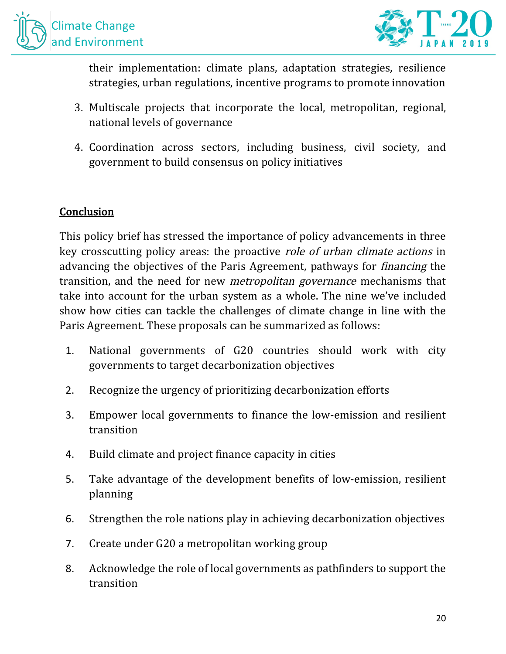



their implementation: climate plans, adaptation strategies, resilience strategies, urban regulations, incentive programs to promote innovation

- 3. Multiscale projects that incorporate the local, metropolitan, regional, national levels of governance
- 4. Coordination across sectors, including business, civil society, and government to build consensus on policy initiatives

#### **Conclusion**

This policy brief has stressed the importance of policy advancements in three key crosscutting policy areas: the proactive *role of urban climate actions* in advancing the objectives of the Paris Agreement, pathways for *financing* the transition, and the need for new *metropolitan governance* mechanisms that take into account for the urban system as a whole. The nine we've included show how cities can tackle the challenges of climate change in line with the Paris Agreement. These proposals can be summarized as follows:

- 1. National governments of G20 countries should work with city governments to target decarbonization objectives
- 2. Recognize the urgency of prioritizing decarbonization efforts
- 3. Empower local governments to finance the low-emission and resilient transition
- 4. Build climate and project finance capacity in cities
- 5. Take advantage of the development benefits of low-emission, resilient planning
- 6. Strengthen the role nations play in achieving decarbonization objectives
- 7. Create under G20 a metropolitan working group
- 8. Acknowledge the role of local governments as pathfinders to support the transition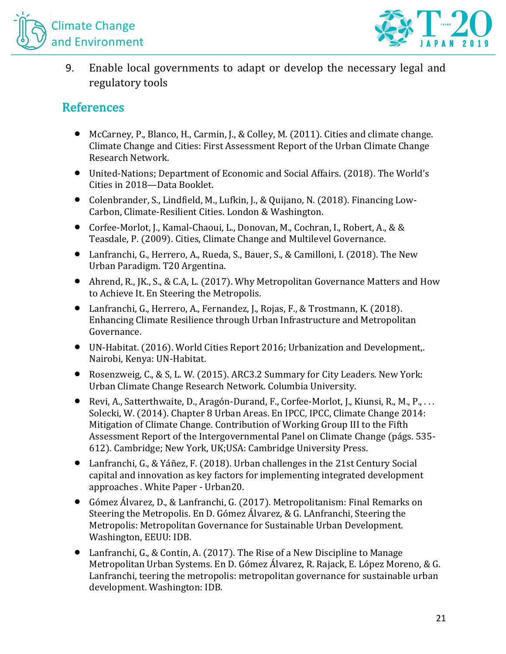



9. Enable local governments to adapt or develop the necessary legal and regulatory tools

# **References**

- McCarney, P., Blanco, H., Carmin, J., & Colley, M. (2011). Cities and climate change. Climate Change and Cities: First Assessment Report of the Urban Climate Change Research Network.
- United-Nations; Department of Economic and Social Affairs. (2018). The World's Cities in 2018-Data Booklet.
- Colenbrander, S., Lindfield, M., Lufkin, J., & Quijano, N. (2018). Financing Low-Carbon, Climate-Resilient Cities. London & Washington.
- Corfee-Morlot, J., Kamal-Chaoui, L., Donovan, M., Cochran, I., Robert, A., & & Teasdale, P. (2009). Cities, Climate Change and Multilevel Governance.
- Lanfranchi, G., Herrero, A., Rueda, S., Bauer, S., & Camilloni, I. (2018). The New Urban Paradigm. T20 Argentina.
- Ahrend, R., JK., S., & C.A, L. (2017). Why Metropolitan Governance Matters and How to Achieve It. En Steering the Metropolis.
- Lanfranchi, G., Herrero, A., Fernandez, J., Rojas, F., & Trostmann, K. (2018). Enhancing Climate Resilience through Urban Infrastructure and Metropolitan Governance.
- UN-Habitat. (2016). World Cities Report 2016; Urbanization and Development.. Nairobi, Kenya: UN-Habitat.
- Rosenzweig, C., & S. L. W. (2015). ARC3.2 Summary for City Leaders. New York: Urban Climate Change Research Network. Columbia University.
- Revi, A., Satterthwaite, D., Aragón-Durand, F., Corfee-Morlot, J., Kiunsi, R., M., P., ... Solecki, W. (2014). Chapter 8 Urban Areas. En IPCC, IPCC, Climate Change 2014: Mitigation of Climate Change. Contribution of Working Group III to the Fifth Assessment Report of the Intergovernmental Panel on Climate Change (págs. 535-612). Cambridge; New York, UK;USA: Cambridge University Press.
- Lanfranchi, G., & Yáñez, F. (2018). Urban challenges in the 21st Century Social capital and innovation as key factors for implementing integrated development approaches . White Paper - Urban20.
- Gómez Álvarez, D., & Lanfranchi, G. (2017). Metropolitanism: Final Remarks on Steering the Metropolis. En D. Gómez Álvarez, & G. LAnfranchi, Steering the Metropolis: Metropolitan Governance for Sustainable Urban Development. Washington, EEUU: IDB.
- Lanfranchi, G., & Contin, A. (2017). The Rise of a New Discipline to Manage Metropolitan Urban Systems. En D. Gómez Álvarez, R. Rajack, E. López Moreno, & G. Lanfranchi, teering the metropolis: metropolitan governance for sustainable urban development. Washington: IDB.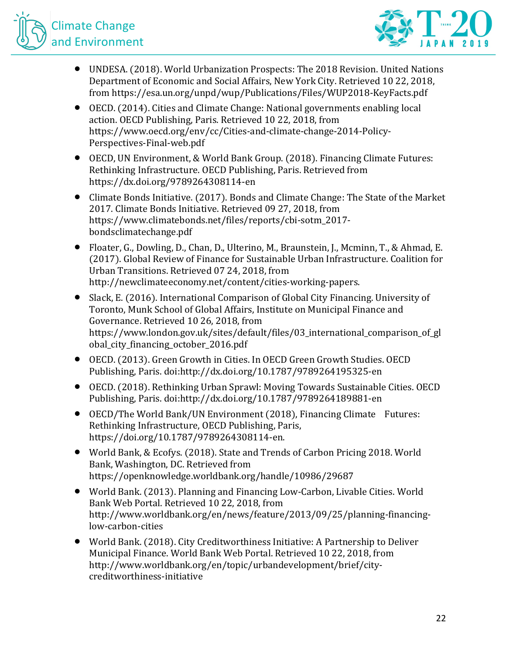



- UNDESA. (2018). World Urbanization Prospects: The 2018 Revision. United Nations Department of Economic and Social Affairs, New York City. Retrieved 10 22, 2018, from https://esa.un.org/unpd/wup/Publications/Files/WUP2018-KeyFacts.pdf
- OECD. (2014). Cities and Climate Change: National governments enabling local action. OECD Publishing, Paris. Retrieved 10 22, 2018, from https://www.oecd.org/env/cc/Cities-and-climate-change-2014-Policy-Perspectives-Final-web.pdf
- OECD, UN Environment, & World Bank Group. (2018). Financing Climate Futures: Rethinking Infrastructure. OECD Publishing, Paris. Retrieved from https://dx.doi.org/9789264308114-en
- Climate Bonds Initiative. (2017). Bonds and Climate Change: The State of the Market 2017. Climate Bonds Initiative. Retrieved 09 27, 2018, from https://www.climatebonds.net/files/reports/cbi-sotm\_2017 bondsclimatechange.pdf
- Floater, G., Dowling, D., Chan, D., Ulterino, M., Braunstein, J., Mcminn, T., & Ahmad, E. (2017). Global Review of Finance for Sustainable Urban Infrastructure. Coalition for Urban Transitions. Retrieved 07 24, 2018, from http://newclimateeconomy.net/content/cities-working-papers.
- Slack, E. (2016). International Comparison of Global City Financing. University of Toronto, Munk School of Global Affairs, Institute on Municipal Finance and Governance. Retrieved 10 26, 2018, from https://www.london.gov.uk/sites/default/files/03 international comparison of gl obal\_city\_financing\_october\_2016.pdf
- OECD. (2013). Green Growth in Cities. In OECD Green Growth Studies. OECD Publishing, Paris. doi:http://dx.doi.org/10.1787/9789264195325-en
- OECD. (2018). Rethinking Urban Sprawl: Moving Towards Sustainable Cities. OECD Publishing, Paris. doi:http://dx.doi.org/10.1787/9789264189881-en
- OECD/The World Bank/UN Environment (2018), Financing Climate Futures: Rethinking Infrastructure, OECD Publishing, Paris, https://doi.org/10.1787/9789264308114-en.
- World Bank, & Ecofys. (2018). State and Trends of Carbon Pricing 2018. World Bank, Washington, DC. Retrieved from https://openknowledge.worldbank.org/handle/10986/29687
- World Bank. (2013). Planning and Financing Low-Carbon, Livable Cities. World Bank Web Portal. Retrieved 10 22, 2018, from http://www.worldbank.org/en/news/feature/2013/09/25/planning-financinglow-carbon-cities
- World Bank. (2018). City Creditworthiness Initiative: A Partnership to Deliver Municipal Finance. World Bank Web Portal. Retrieved 10 22, 2018, from http://www.worldbank.org/en/topic/urbandevelopment/brief/citycreditworthiness-initiative